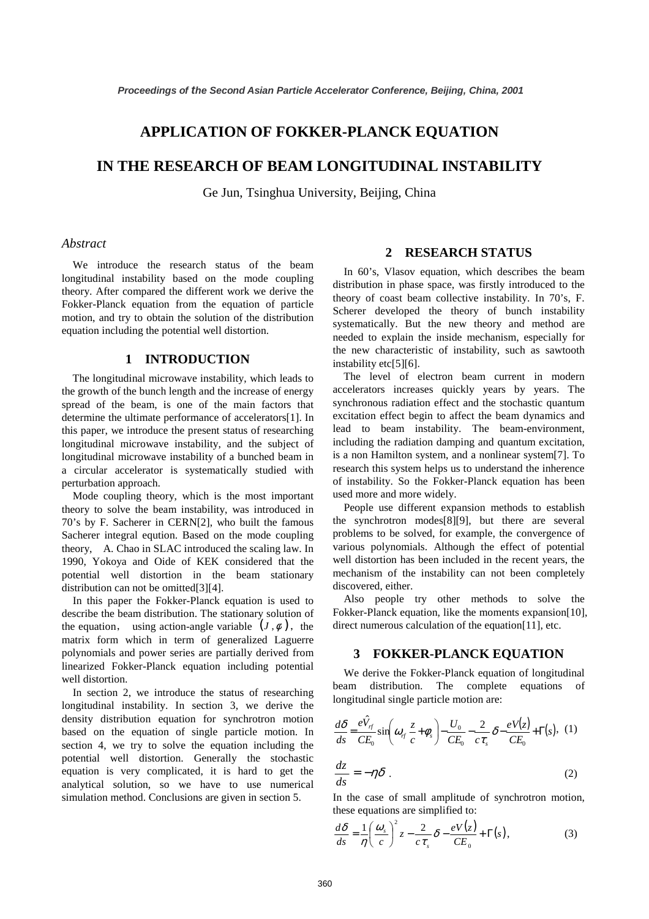# **APPLICATION OF FOKKER-PLANCK EQUATION**

# **IN THE RESEARCH OF BEAM LONGITUDINAL INSTABILITY**

Ge Jun, Tsinghua University, Beijing, China

### *Abstract*

 We introduce the research status of the beam longitudinal instability based on the mode coupling theory. After compared the different work we derive the Fokker-Planck equation from the equation of particle motion, and try to obtain the solution of the distribution equation including the potential well distortion.

## **1 INTRODUCTION**

 The longitudinal microwave instability, which leads to the growth of the bunch length and the increase of energy spread of the beam, is one of the main factors that determine the ultimate performance of accelerators[1]. In this paper, we introduce the present status of researching longitudinal microwave instability, and the subject of longitudinal microwave instability of a bunched beam in a circular accelerator is systematically studied with perturbation approach.

 Mode coupling theory, which is the most important theory to solve the beam instability, was introduced in 70's by F. Sacherer in CERN[2], who built the famous Sacherer integral eqution. Based on the mode coupling theory, A. Chao in SLAC introduced the scaling law. In 1990, Yokoya and Oide of KEK considered that the potential well distortion in the beam stationary distribution can not be omitted[3][4].

 In this paper the Fokker-Planck equation is used to describe the beam distribution. The stationary solution of the equation, using action-angle variable  $(J, \phi)$ , the matrix form which in term of generalized Laguerre polynomials and power series are partially derived from linearized Fokker-Planck equation including potential well distortion.

 In section 2, we introduce the status of researching longitudinal instability. In section 3, we derive the density distribution equation for synchrotron motion based on the equation of single particle motion. In section 4, we try to solve the equation including the potential well distortion. Generally the stochastic equation is very complicated, it is hard to get the analytical solution, so we have to use numerical simulation method. Conclusions are given in section 5.

# **2 RESEARCH STATUS**

 In 60's, Vlasov equation, which describes the beam distribution in phase space, was firstly introduced to the theory of coast beam collective instability. In 70's, F. Scherer developed the theory of bunch instability systematically. But the new theory and method are needed to explain the inside mechanism, especially for the new characteristic of instability, such as sawtooth instability etc[5][6].

 The level of electron beam current in modern accelerators increases quickly years by years. The synchronous radiation effect and the stochastic quantum excitation effect begin to affect the beam dynamics and lead to beam instability. The beam-environment, including the radiation damping and quantum excitation, is a non Hamilton system, and a nonlinear system[7]. To research this system helps us to understand the inherence of instability. So the Fokker-Planck equation has been used more and more widely.

 People use different expansion methods to establish the synchrotron modes[8][9], but there are several problems to be solved, for example, the convergence of various polynomials. Although the effect of potential well distortion has been included in the recent years, the mechanism of the instability can not been completely discovered, either.

 Also people try other methods to solve the Fokker-Planck equation, like the moments expansion[10], direct numerous calculation of the equation[11], etc.

#### **3 FOKKER-PLANCK EQUATION**

 We derive the Fokker-Planck equation of longitudinal beam distribution. The complete equations of longitudinal single particle motion are:

$$
\frac{d\delta}{ds} = \frac{e\hat{V}_{rf}}{CE_0} \sin\left(\omega_{rf} \frac{z}{c} + \phi_s\right) - \frac{U_0}{CE_0} - \frac{2}{c\tau_s} \delta - \frac{eV(z)}{CE_0} + \Gamma(s), \tag{1}
$$
\n
$$
dz \tag{2}
$$

 $\frac{dz}{ds} = -\eta \delta$  . (2) In the case of small amplitude of synchrotron motion,

$$
\frac{d\delta}{ds} = \frac{1}{\eta} \left( \frac{\omega_s}{c} \right)^2 z - \frac{2}{c \tau_s} \delta - \frac{eV(z)}{CE_0} + \Gamma(s), \tag{3}
$$

these equations are simplified to: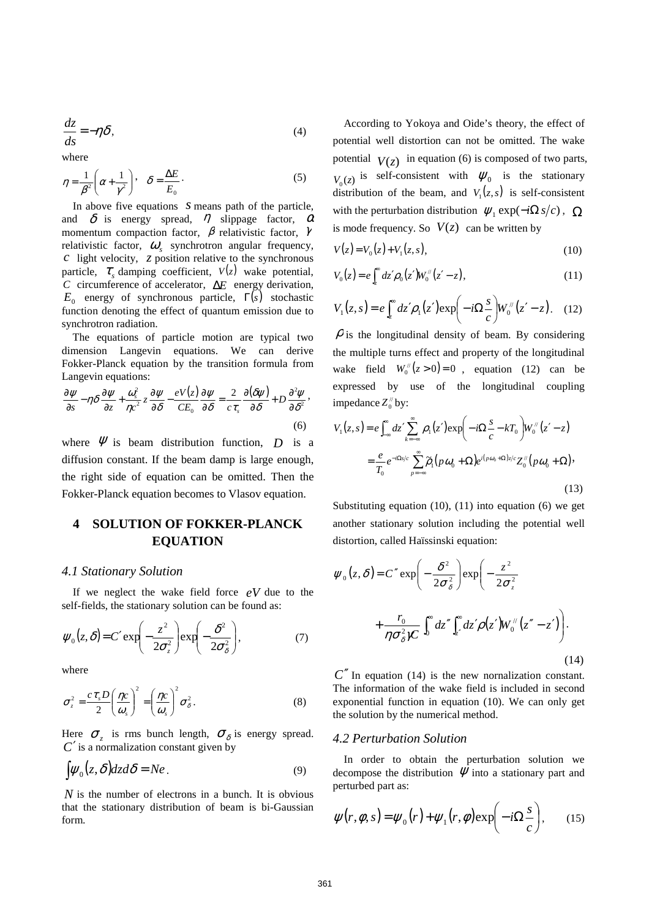$$
\frac{dz}{ds} = -\eta \delta,\tag{4}
$$

where

$$
\eta = \frac{1}{\beta^2} \left( \alpha + \frac{1}{\gamma^2} \right), \quad \delta = \frac{\Delta E}{E_0} \,. \tag{5}
$$

 In above five equations *s* means path of the particle, and  $\delta$  is energy spread,  $\eta$  slippage factor,  $\alpha$ momentum compaction factor,  $\beta$  relativistic factor,  $\gamma$ relativistic factor,  $\omega$ <sub>s</sub> synchrotron angular frequency, *c* light velocity, *z* position relative to the synchronous particle,  $\tau_s$  damping coefficient,  $V(z)$  wake potential, *C* circumference of accelerator, ∆*E* energy derivation,  $E_0$  energy of synchronous particle,  $\Gamma(s)$  stochastic function denoting the effect of quantum emission due to synchrotron radiation.

 The equations of particle motion are typical two dimension Langevin equations. We can derive Fokker-Planck equation by the transition formula from Langevin equations:

$$
\frac{\partial \psi}{\partial s} - \eta \delta \frac{\partial \psi}{\partial z} + \frac{\omega_s^2}{\eta c^2} z \frac{\partial \psi}{\partial \delta} - \frac{eV(z)}{CE_0} \frac{\partial \psi}{\partial \delta} = \frac{2}{c \tau_s} \frac{\partial (\delta \psi)}{\partial \delta} + D \frac{\partial^2 \psi}{\partial \delta^2},\tag{6}
$$

where  $\Psi$  is beam distribution function,  $D$  is a diffusion constant. If the beam damp is large enough, the right side of equation can be omitted. Then the Fokker-Planck equation becomes to Vlasov equation.

# **4 SOLUTION OF FOKKER-PLANCK EQUATION**

### *4.1 Stationary Solution*

 If we neglect the wake field force *eV* due to the self-fields, the stationary solution can be found as:

$$
\psi_0(z,\delta) = C' \exp\left(-\frac{z^2}{2\sigma_z^2}\right) \exp\left(-\frac{\delta^2}{2\sigma_\delta^2}\right),\tag{7}
$$

where

$$
\sigma_z^2 = \frac{c\,\tau_s D}{2} \left(\frac{\eta c}{\omega_s}\right)^2 = \left(\frac{\eta c}{\omega_s}\right)^2 \sigma_\delta^2.
$$
 (8)

Here  $\sigma_z$  is rms bunch length,  $\sigma_\delta$  is energy spread. *C*′ is a normalization constant given by

$$
\int \psi_0(z,\delta) dz d\delta = Ne. \tag{9}
$$

*N* is the number of electrons in a bunch. It is obvious that the stationary distribution of beam is bi-Gaussian form.

 According to Yokoya and Oide's theory, the effect of potential well distortion can not be omitted. The wake potential  $V(z)$  in equation (6) is composed of two parts,  $V_0(z)$  is self-consistent with  $\psi_0$  is the stationary distribution of the beam, and  $V_1(z, s)$  is self-consistent with the perturbation distribution  $\psi_1 \exp(-i\Omega s/c)$ ,  $\Omega$ is mode frequency. So  $V(z)$  can be written by

$$
V(z) = V_0(z) + V_1(z, s), \tag{10}
$$

$$
V_0(z) = e \int_z^{\infty} dz' \rho_0(z') W_0''(z'-z), \qquad (11)
$$

$$
V_1(z,s) = e \int_z^{\infty} dz' \rho_1(z') \exp\left(-i\Omega \frac{s}{c}\right) W_0''(z'-z). \quad (12)
$$

 $\rho$  is the longitudinal density of beam. By considering the multiple turns effect and property of the longitudinal wake field  $W_0^{\prime\prime}(z > 0) = 0$ , equation (12) can be expressed by use of the longitudinal coupling impedance  $Z_0^{\prime\prime}$  by:

$$
V_1(z,s) = e \int_{-\infty}^{\infty} dz' \sum_{k=-\infty}^{\infty} \rho_1(z') \exp\left(-i\Omega \frac{s}{c} - kT_0\right) W_0''(z'-z)
$$
  

$$
= \frac{e}{T_0} e^{-i\Omega s/c} \sum_{p=-\infty}^{\infty} \tilde{\rho}_1(p\omega_0 + \Omega) e^{i(p\omega_0 + \Omega)z/c} Z_0''(p\omega_0 + \Omega)
$$
(13)

Substituting equation  $(10)$ ,  $(11)$  into equation  $(6)$  we get another stationary solution including the potential well distortion, called Haïssinski equation:

$$
\psi_0(z,\delta) = C'' \exp\left(-\frac{\delta^2}{2\sigma_\delta^2}\right) \exp\left(-\frac{z^2}{2\sigma_z^2} + \frac{r_0}{\eta \sigma_\delta^2 \gamma C} \int_0^c dz'' \int_z^c dz' \rho(z') W_0^{/\prime}(z'' - z')\right).
$$
\n(14)

*C*′′ In equation (14) is the new nornalization constant. The information of the wake field is included in second exponential function in equation (10). We can only get the solution by the numerical method.

#### *4.2 Perturbation Solution*

 In order to obtain the perturbation solution we decompose the distribution  $\psi$  into a stationary part and perturbed part as:

$$
\psi(r,\phi,s) = \psi_0(r) + \psi_1(r,\phi) \exp\left(-i\Omega \frac{s}{c}\right), \qquad (15)
$$